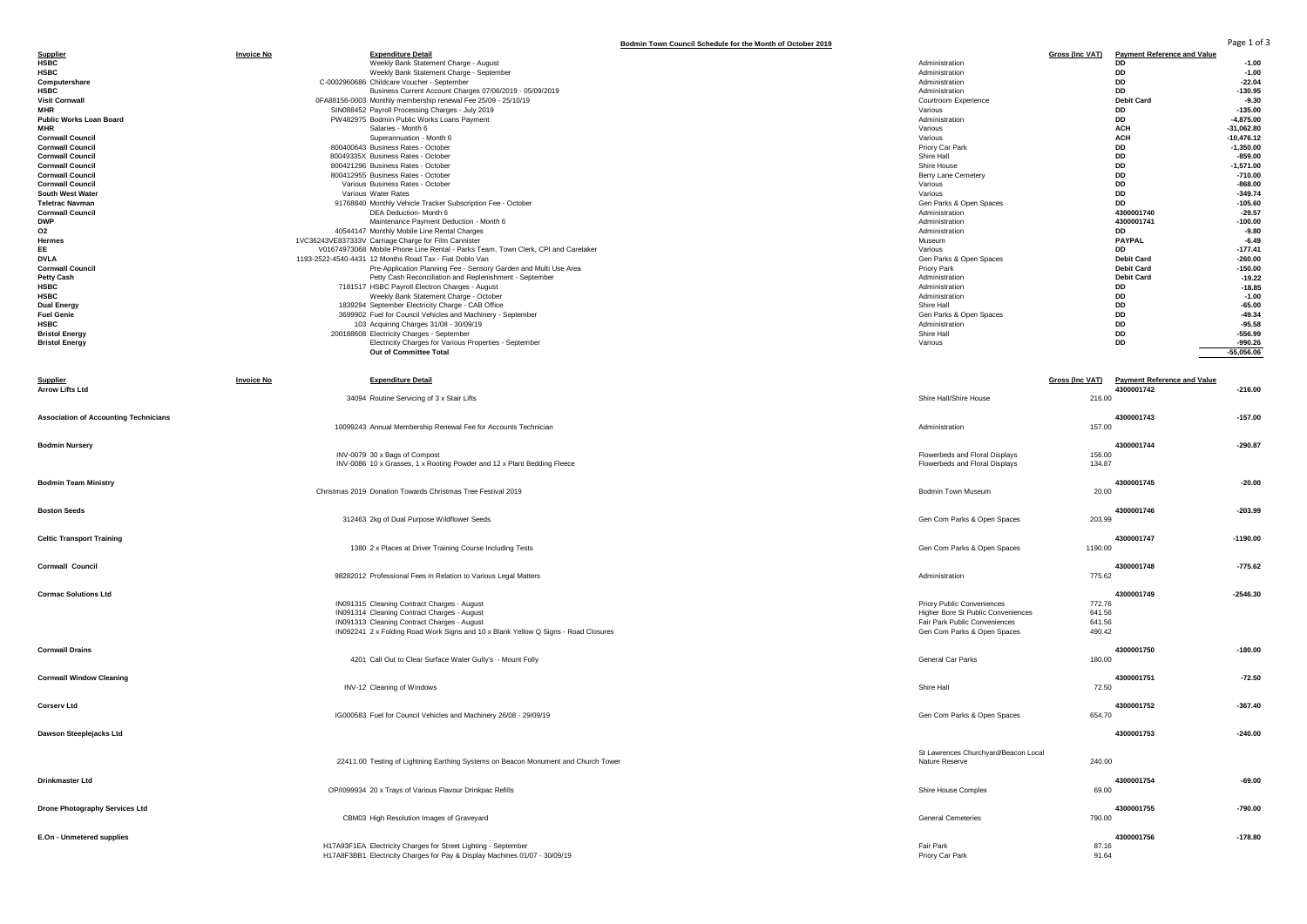|                                                    |                   |                                                                                                                                              | Bodmin Town Council Schedule for the Month of October 2019       |                              |                                    | Page 1 of 3            |
|----------------------------------------------------|-------------------|----------------------------------------------------------------------------------------------------------------------------------------------|------------------------------------------------------------------|------------------------------|------------------------------------|------------------------|
| <b>Supplier</b><br><b>HSBC</b>                     | <b>Invoice No</b> | <b>Expenditure Detail</b><br>Weekly Bank Statement Charge - August                                                                           | Administration                                                   | <b>Gross (Inc VAT)</b><br>DD | <b>Payment Reference and Value</b> | $-1.00$                |
| <b>HSBC</b>                                        |                   | Weekly Bank Statement Charge - September                                                                                                     | Administration                                                   | DD                           |                                    | $-1.00$                |
| Computershare                                      |                   | C-0002960686 Childcare Voucher - September                                                                                                   | Administration                                                   | DD                           |                                    | $-22.04$               |
| <b>HSBC</b>                                        |                   | Business Current Account Charges 07/06/2019 - 05/09/2019                                                                                     | Administration                                                   | DD                           |                                    | $-130.95$              |
| <b>Visit Cornwall</b>                              |                   | 0FA88156-0003 Monthly membership renewal Fee 25/09 - 25/10/19                                                                                | Courtroom Experience                                             | <b>Debit Card</b>            |                                    | $-9.30$                |
| <b>MHR</b>                                         |                   | SIN088452 Payroll Processing Charges - July 2019                                                                                             | Various<br>Administration                                        | DD                           |                                    | $-135.00$              |
| <b>Public Works Loan Board</b><br><b>MHR</b>       |                   | PW482975 Bodmin Public Works Loans Payment<br>Salaries - Month 6                                                                             | Various                                                          | DD<br><b>ACH</b>             | $-4,875.00$<br>$-31,062.80$        |                        |
| <b>Cornwall Council</b>                            |                   | Superannuation - Month 6                                                                                                                     | Various                                                          | <b>ACH</b>                   | $-10,476.12$                       |                        |
| <b>Cornwall Council</b>                            |                   | 800400643 Business Rates - October                                                                                                           | Priory Car Park                                                  | DD                           | $-1,350.00$                        |                        |
| <b>Cornwall Council</b>                            |                   | 80049335X Business Rates - October                                                                                                           | Shire Hall                                                       | DD                           |                                    | $-859.00$              |
| <b>Cornwall Council</b>                            |                   | 800421296 Business Rates - October                                                                                                           | Shire House                                                      | DD                           | $-1,571.00$                        |                        |
| <b>Cornwall Council</b><br><b>Cornwall Council</b> |                   | 800412955 Business Rates - October<br>Various Business Rates - October                                                                       | Berry Lane Cemetery<br>Various                                   | DD<br>DD                     |                                    | $-710.00$<br>$-868.00$ |
| South West Water                                   |                   | Various Water Rates                                                                                                                          | Various                                                          | DD                           |                                    | $-349.74$              |
| <b>Teletrac Navman</b>                             |                   | 91768840 Monthly Vehicle Tracker Subscription Fee - October                                                                                  | Gen Parks & Open Spaces                                          | DD                           |                                    | $-105.60$              |
| <b>Cornwall Council</b>                            |                   | DEA Deduction- Month 6                                                                                                                       | Administration                                                   | 4300001740                   |                                    | $-29.57$               |
| <b>DWP</b>                                         |                   | Maintenance Payment Deduction - Month 6                                                                                                      | Administration                                                   | 4300001741                   |                                    | $-100.00$              |
| <b>O2</b><br>Hermes                                |                   | 40544147 Monthly Mobile Line Rental Charges<br>1VC36243VE837333V Carriage Charge for Film Cannister                                          | Administration<br>Museum                                         | DD<br><b>PAYPAL</b>          |                                    | $-9.80$<br>$-6.49$     |
| EE                                                 |                   | V01674973068 Mobile Phone Line Rental - Parks Team, Town Clerk, CPI and Caretaker                                                            | Various                                                          | DD                           |                                    | $-177.41$              |
| <b>DVLA</b>                                        |                   | 1193-2522-4540-4431 12 Months Road Tax - Fiat Doblo Van                                                                                      | Gen Parks & Open Spaces                                          | <b>Debit Card</b>            |                                    | $-260.00$              |
| <b>Cornwall Council</b>                            |                   | Pre-Application Planning Fee - Sensory Garden and Multi Use Area                                                                             | Priory Park                                                      | <b>Debit Card</b>            |                                    | $-150.00$              |
| <b>Petty Cash</b>                                  |                   | Petty Cash Reconciliation and Replenishment - September                                                                                      | Administration                                                   | <b>Debit Card</b>            |                                    | $-19.22$               |
| <b>HSBC</b>                                        |                   | 7181517 HSBC Payroll Electron Charges - August                                                                                               | Administration                                                   | DD                           |                                    | $-18.85$               |
| <b>HSBC</b><br><b>Dual Energy</b>                  |                   | Weekly Bank Statement Charge - October<br>1839294 September Electricity Charge - CAB Office                                                  | Administration<br>Shire Hall                                     | DD<br>DD                     |                                    | $-1.00$<br>$-65.00$    |
| <b>Fuel Genie</b>                                  |                   | 3699902 Fuel for Council Vehicles and Machinery - September                                                                                  | Gen Parks & Open Spaces                                          | DD                           |                                    | $-49.34$               |
| <b>HSBC</b>                                        |                   | 103 Acquiring Charges 31/08 - 30/09/19                                                                                                       | Administration                                                   | DD                           |                                    | $-95.58$               |
| <b>Bristol Energy</b>                              |                   | 200188608 Electricity Charges - September                                                                                                    | Shire Hall                                                       | DD                           |                                    | $-556.99$              |
| <b>Bristol Energy</b>                              |                   | Electricity Charges for Various Properties - September                                                                                       | Various                                                          | DD                           |                                    | $-990.26$              |
|                                                    |                   | Out of Committee Total                                                                                                                       |                                                                  |                              | $-55,056.06$                       |                        |
|                                                    |                   |                                                                                                                                              |                                                                  |                              |                                    |                        |
| <b>Supplier</b>                                    | <b>Invoice No</b> | <b>Expenditure Detail</b>                                                                                                                    |                                                                  | <b>Gross (Inc VAT)</b>       | <b>Payment Reference and Value</b> |                        |
| <b>Arrow Lifts Ltd</b>                             |                   |                                                                                                                                              |                                                                  | 4300001742                   |                                    | $-216.00$              |
|                                                    |                   | 34094 Routine Servicing of 3 x Stair Lifts                                                                                                   | Shire Hall/Shire House                                           | 216.00                       |                                    |                        |
| <b>Association of Accounting Technicians</b>       |                   |                                                                                                                                              |                                                                  | 4300001743                   |                                    | $-157.00$              |
|                                                    |                   | 10099243 Annual Membership Renewal Fee for Accounts Technician                                                                               | Administration                                                   | 157.00                       |                                    |                        |
|                                                    |                   |                                                                                                                                              |                                                                  |                              |                                    |                        |
| <b>Bodmin Nursery</b>                              |                   |                                                                                                                                              |                                                                  | 4300001744                   |                                    | $-290.87$              |
|                                                    |                   | INV-0079 30 x Bags of Compost<br>INV-0086 10 x Grasses, 1 x Rooting Powder and 12 x Plant Bedding Fleece                                     | Flowerbeds and Floral Displays<br>Flowerbeds and Floral Displays | 156.00<br>134.87             |                                    |                        |
|                                                    |                   |                                                                                                                                              |                                                                  |                              |                                    |                        |
| <b>Bodmin Team Ministry</b>                        |                   |                                                                                                                                              |                                                                  | 4300001745                   |                                    | $-20.00$               |
|                                                    |                   | Christmas 2019 Donation Towards Christmas Tree Festival 2019                                                                                 | Bodmin Town Museum                                               | 20.00                        |                                    |                        |
|                                                    |                   |                                                                                                                                              |                                                                  |                              |                                    |                        |
| <b>Boston Seeds</b>                                |                   | 312463 2kg of Dual Purpose Wildflower Seeds                                                                                                  | Gen Com Parks & Open Spaces                                      | 4300001746<br>203.99         |                                    | $-203.99$              |
|                                                    |                   |                                                                                                                                              |                                                                  |                              |                                    |                        |
| <b>Celtic Transport Training</b>                   |                   |                                                                                                                                              |                                                                  | 4300001747                   | $-1190.00$                         |                        |
|                                                    |                   | 1380 2 x Places at Driver Training Course Including Tests                                                                                    | Gen Com Parks & Open Spaces                                      | 1190.00                      |                                    |                        |
|                                                    |                   |                                                                                                                                              |                                                                  |                              |                                    |                        |
| <b>Cornwall Council</b>                            |                   | 98282012 Professional Fees in Relation to Various Legal Matters                                                                              | Administration                                                   | 4300001748<br>775.62         |                                    | $-775.62$              |
|                                                    |                   |                                                                                                                                              |                                                                  |                              |                                    |                        |
| <b>Cormac Solutions Ltd</b>                        |                   |                                                                                                                                              |                                                                  | 4300001749                   | $-2546.30$                         |                        |
|                                                    |                   | IN091315 Cleaning Contract Charges - August                                                                                                  | Priory Public Conveniences                                       | 772.76                       |                                    |                        |
|                                                    |                   | IN091314 Cleaning Contract Charges - August                                                                                                  | Higher Bore St Public Conveniences                               | 641.56                       |                                    |                        |
|                                                    |                   | IN091313 Cleaning Contract Charges - August<br>IN092241 2 x Folding Road Work Signs and 10 x Blank Yellow Q Signs - Road Closures            | Fair Park Public Conveniences<br>Gen Com Parks & Open Spaces     | 641.56<br>490.42             |                                    |                        |
|                                                    |                   |                                                                                                                                              |                                                                  |                              |                                    |                        |
| <b>Cornwall Drains</b>                             |                   |                                                                                                                                              |                                                                  | 4300001750                   |                                    | $-180.00$              |
|                                                    |                   | 4201 Call Out to Clear Surface Water Gully's - Mount Folly                                                                                   | General Car Parks                                                | 180.00                       |                                    |                        |
| <b>Cornwall Window Cleaning</b>                    |                   |                                                                                                                                              |                                                                  | 4300001751                   |                                    | $-72.50$               |
|                                                    |                   | INV-12 Cleaning of Windows                                                                                                                   | Shire Hall                                                       | 72.50                        |                                    |                        |
|                                                    |                   |                                                                                                                                              |                                                                  |                              |                                    |                        |
| <b>Corserv Ltd</b>                                 |                   |                                                                                                                                              |                                                                  | 4300001752                   |                                    | $-367.40$              |
|                                                    |                   | IG000583 Fuel for Council Vehicles and Machinery 26/08 - 29/09/19                                                                            | Gen Com Parks & Open Spaces                                      | 654.70                       |                                    |                        |
|                                                    |                   |                                                                                                                                              |                                                                  |                              |                                    |                        |
| Dawson Steeplejacks Ltd                            |                   |                                                                                                                                              |                                                                  | 4300001753                   |                                    | $-240.00$              |
|                                                    |                   |                                                                                                                                              | St Lawrences Churchyard/Beacon Local                             |                              |                                    |                        |
|                                                    |                   | 22411.00 Testing of Lightning Earthing Systems on Beacon Monument and Church Tower                                                           | Nature Reserve                                                   | 240.00                       |                                    |                        |
|                                                    |                   |                                                                                                                                              |                                                                  |                              |                                    |                        |
| <b>Drinkmaster Ltd</b>                             |                   | OP/1099934 20 x Trays of Various Flavour Drinkpac Refills                                                                                    | Shire House Complex                                              | 4300001754<br>69.00          |                                    | $-69.00$               |
|                                                    |                   |                                                                                                                                              |                                                                  |                              |                                    |                        |
| <b>Drone Photography Services Ltd</b>              |                   |                                                                                                                                              |                                                                  | 4300001755                   |                                    | $-790.00$              |
|                                                    |                   | CBM03 High Resolution Images of Graveyard                                                                                                    | <b>General Cemeteries</b>                                        | 790.00                       |                                    |                        |
|                                                    |                   |                                                                                                                                              |                                                                  |                              |                                    |                        |
| E.On - Unmetered supplies                          |                   |                                                                                                                                              |                                                                  | 4300001756                   |                                    | $-178.80$              |
|                                                    |                   |                                                                                                                                              |                                                                  |                              |                                    |                        |
|                                                    |                   | H17A93F1EA Electricity Charges for Street Lighting - September<br>H17A8F3BB1 Electricity Charges for Pay & Display Machines 01/07 - 30/09/19 | Fair Park<br>Priory Car Park                                     | 87.16<br>91.64               |                                    |                        |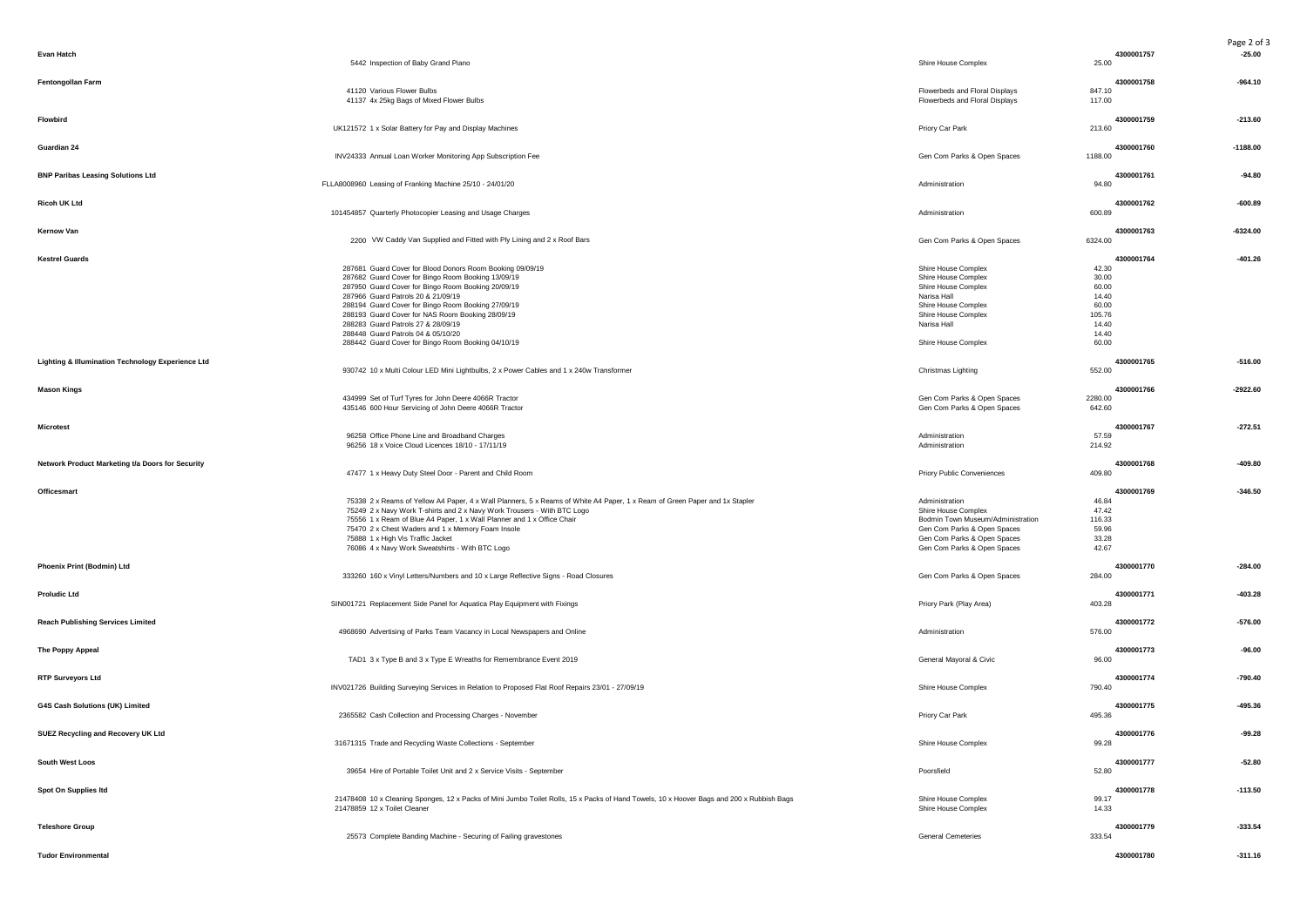|                                                   |                                                                                                                                           |                                                                  |                                | Page 2 of 3 |
|---------------------------------------------------|-------------------------------------------------------------------------------------------------------------------------------------------|------------------------------------------------------------------|--------------------------------|-------------|
| <b>Evan Hatch</b>                                 | 5442 Inspection of Baby Grand Piano                                                                                                       | Shire House Complex                                              | 4300001757<br>25.00            | $-25.00$    |
| Fentongollan Farm                                 | 41120 Various Flower Bulbs<br>41137 4x 25kg Bags of Mixed Flower Bulbs                                                                    | Flowerbeds and Floral Displays<br>Flowerbeds and Floral Displays | 4300001758<br>847.10<br>117.00 | $-964.10$   |
|                                                   |                                                                                                                                           |                                                                  |                                |             |
| Flowbird                                          | UK121572 1 x Solar Battery for Pay and Display Machines                                                                                   | Priory Car Park                                                  | 4300001759<br>213.60           | $-213.60$   |
| Guardian 24                                       | INV24333 Annual Loan Worker Monitoring App Subscription Fee                                                                               | Gen Com Parks & Open Spaces                                      | 4300001760<br>1188.00          | $-1188.00$  |
| <b>BNP Paribas Leasing Solutions Ltd</b>          |                                                                                                                                           |                                                                  | 4300001761                     | $-94.80$    |
|                                                   | FLLA8008960 Leasing of Franking Machine 25/10 - 24/01/20                                                                                  | Administration                                                   | 94.80                          |             |
| <b>Ricoh UK Ltd</b>                               | 101454857 Quarterly Photocopier Leasing and Usage Charges                                                                                 | Administration                                                   | 4300001762<br>600.89           | $-600.89$   |
| Kernow Van                                        |                                                                                                                                           |                                                                  | 4300001763                     | $-6324.00$  |
|                                                   | 2200 VW Caddy Van Supplied and Fitted with Ply Lining and 2 x Roof Bars                                                                   | Gen Com Parks & Open Spaces                                      | 6324.00                        |             |
| <b>Kestrel Guards</b>                             | 287681 Guard Cover for Blood Donors Room Booking 09/09/19                                                                                 | Shire House Complex                                              | 4300001764<br>42.30            | $-401.26$   |
|                                                   | 287682 Guard Cover for Bingo Room Booking 13/09/19                                                                                        | Shire House Complex                                              | 30.00                          |             |
|                                                   | 287950 Guard Cover for Bingo Room Booking 20/09/19                                                                                        | Shire House Complex                                              | 60.00                          |             |
|                                                   | 287966 Guard Patrols 20 & 21/09/19                                                                                                        | Narisa Hall                                                      | 14.40                          |             |
|                                                   | 288194 Guard Cover for Bingo Room Booking 27/09/19                                                                                        | Shire House Complex                                              | 60.00                          |             |
|                                                   | 288193 Guard Cover for NAS Room Booking 28/09/19                                                                                          | Shire House Complex                                              | 105.76                         |             |
|                                                   | 288283 Guard Patrols 27 & 28/09/19                                                                                                        | Narisa Hall                                                      | 14.40                          |             |
|                                                   | 288448 Guard Patrols 04 & 05/10/20                                                                                                        |                                                                  | 14.40                          |             |
|                                                   | 288442 Guard Cover for Bingo Room Booking 04/10/19                                                                                        | Shire House Complex                                              | 60.00                          |             |
| Lighting & Illumination Technology Experience Ltd |                                                                                                                                           |                                                                  | 4300001765                     | $-516.00$   |
|                                                   | 930742 10 x Multi Colour LED Mini Lightbulbs, 2 x Power Cables and 1 x 240w Transformer                                                   | Christmas Lighting                                               | 552.00                         |             |
| <b>Mason Kings</b>                                |                                                                                                                                           |                                                                  | 4300001766                     | $-2922.60$  |
|                                                   | 434999 Set of Turf Tyres for John Deere 4066R Tractor                                                                                     | Gen Com Parks & Open Spaces                                      | 2280.00                        |             |
|                                                   | 435146 600 Hour Servicing of John Deere 4066R Tractor                                                                                     | Gen Com Parks & Open Spaces                                      | 642.60                         |             |
| <b>Microtest</b>                                  |                                                                                                                                           |                                                                  | 4300001767                     | $-272.51$   |
|                                                   | 96258 Office Phone Line and Broadband Charges                                                                                             | Administration                                                   | 57.59                          |             |
|                                                   | 96256 18 x Voice Cloud Licences 18/10 - 17/11/19                                                                                          | Administration                                                   | 214.92                         |             |
|                                                   |                                                                                                                                           |                                                                  |                                |             |
| Network Product Marketing t/a Doors for Security  | 47477 1 x Heavy Duty Steel Door - Parent and Child Room                                                                                   | <b>Priory Public Conveniences</b>                                | 4300001768<br>409.80           | $-409.80$   |
|                                                   |                                                                                                                                           |                                                                  |                                |             |
| Officesmart                                       | 75338 2 x Reams of Yellow A4 Paper, 4 x Wall Planners, 5 x Reams of White A4 Paper, 1 x Ream of Green Paper and 1x Stapler                | Administration                                                   | 4300001769<br>46.84            | $-346.50$   |
|                                                   | 75249 2 x Navy Work T-shirts and 2 x Navy Work Trousers - With BTC Logo                                                                   | Shire House Complex                                              | 47.42                          |             |
|                                                   | 75556 1 x Ream of Blue A4 Paper, 1 x Wall Planner and 1 x Office Chair                                                                    | Bodmin Town Museum/Administration                                | 116.33                         |             |
|                                                   | 75470 2 x Chest Waders and 1 x Memory Foam Insole                                                                                         | Gen Com Parks & Open Spaces                                      | 59.96                          |             |
|                                                   | 75888 1 x High Vis Traffic Jacket                                                                                                         | Gen Com Parks & Open Spaces                                      | 33.28                          |             |
|                                                   | 76086 4 x Navy Work Sweatshirts - With BTC Logo                                                                                           | Gen Com Parks & Open Spaces                                      | 42.67                          |             |
|                                                   |                                                                                                                                           |                                                                  |                                |             |
| Phoenix Print (Bodmin) Ltd                        | 333260 160 x Vinyl Letters/Numbers and 10 x Large Reflective Signs - Road Closures                                                        | Gen Com Parks & Open Spaces                                      | 4300001770<br>284.00           | $-284.00$   |
|                                                   |                                                                                                                                           |                                                                  |                                |             |
| <b>Proludic Ltd</b>                               |                                                                                                                                           |                                                                  | 4300001771                     | $-403.28$   |
|                                                   | SIN001721 Replacement Side Panel for Aquatica Play Equipment with Fixings                                                                 | Priory Park (Play Area)                                          | 403.28                         |             |
| <b>Reach Publishing Services Limited</b>          |                                                                                                                                           |                                                                  | 4300001772                     | $-576.00$   |
|                                                   | 4968690 Advertising of Parks Team Vacancy in Local Newspapers and Online                                                                  | Administration                                                   | 576.00                         |             |
| The Poppy Appeal                                  |                                                                                                                                           |                                                                  | 4300001773                     | $-96.00$    |
|                                                   | TAD1 3 x Type B and 3 x Type E Wreaths for Remembrance Event 2019                                                                         | General Mayoral & Civic                                          | 96.00                          |             |
| <b>RTP Surveyors Ltd</b>                          |                                                                                                                                           |                                                                  | 4300001774                     | $-790.40$   |
|                                                   | INV021726 Building Surveying Services in Relation to Proposed Flat Roof Repairs 23/01 - 27/09/19                                          | Shire House Complex                                              | 790.40                         |             |
|                                                   |                                                                                                                                           |                                                                  |                                |             |
| G4S Cash Solutions (UK) Limited                   | 2365582 Cash Collection and Processing Charges - November                                                                                 | Priory Car Park                                                  | 4300001775<br>495.36           | $-495.36$   |
|                                                   |                                                                                                                                           |                                                                  |                                |             |
| SUEZ Recycling and Recovery UK Ltd                |                                                                                                                                           |                                                                  | 4300001776                     | $-99.28$    |
|                                                   | 31671315 Trade and Recycling Waste Collections - September                                                                                | Shire House Complex                                              | 99.28                          |             |
| South West Loos                                   |                                                                                                                                           |                                                                  | 4300001777                     | $-52.80$    |
|                                                   | 39654 Hire of Portable Toilet Unit and 2 x Service Visits - September                                                                     | Poorsfield                                                       | 52.80                          |             |
|                                                   |                                                                                                                                           |                                                                  |                                |             |
| Spot On Supplies Itd                              | 21478408 10 x Cleaning Sponges, 12 x Packs of Mini Jumbo Toilet Rolls, 15 x Packs of Hand Towels, 10 x Hoover Bags and 200 x Rubbish Bags | Shire House Complex                                              | 4300001778<br>99.17            | $-113.50$   |
|                                                   | 21478859 12 x Toilet Cleaner                                                                                                              | Shire House Complex                                              | 14.33                          |             |
|                                                   |                                                                                                                                           |                                                                  |                                |             |
| <b>Teleshore Group</b>                            |                                                                                                                                           |                                                                  | 4300001779                     | $-333.54$   |
|                                                   | 25573 Complete Banding Machine - Securing of Failing gravestones                                                                          | <b>General Cemeteries</b>                                        | 333.54                         |             |
| <b>Tudor Environmental</b>                        |                                                                                                                                           |                                                                  | 4300001780                     | $-311.16$   |